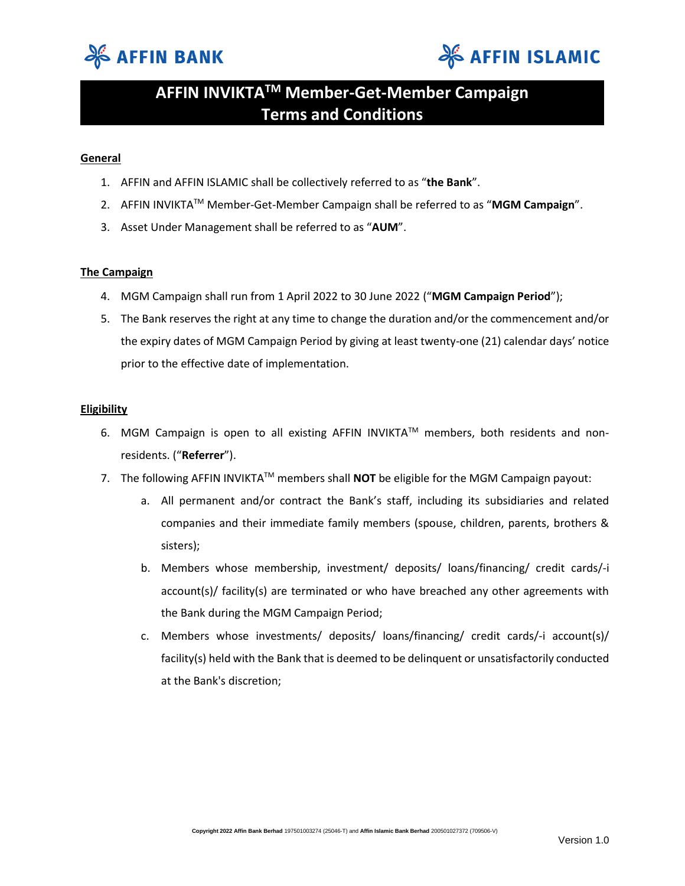



## **AFFIN INVIKTATM Member-Get-Member Campaign Terms and Conditions**

### **General**

- 1. AFFIN and AFFIN ISLAMIC shall be collectively referred to as "**the Bank**".
- 2. AFFIN INVIKTATM Member-Get-Member Campaign shall be referred to as "**MGM Campaign**".
- 3. Asset Under Management shall be referred to as "**AUM**".

### **The Campaign**

- 4. MGM Campaign shall run from 1 April 2022 to 30 June 2022 ("**MGM Campaign Period**");
- 5. The Bank reserves the right at any time to change the duration and/or the commencement and/or the expiry dates of MGM Campaign Period by giving at least twenty-one (21) calendar days' notice prior to the effective date of implementation.

### **Eligibility**

- 6. MGM Campaign is open to all existing AFFIN INVIKTA™ members, both residents and nonresidents. ("**Referrer**").
- 7. The following AFFIN INVIKTATM members shall **NOT** be eligible for the MGM Campaign payout:
	- a. All permanent and/or contract the Bank's staff, including its subsidiaries and related companies and their immediate family members (spouse, children, parents, brothers & sisters);
	- b. Members whose membership, investment/ deposits/ loans/financing/ credit cards/-i account(s)/ facility(s) are terminated or who have breached any other agreements with the Bank during the MGM Campaign Period;
	- c. Members whose investments/ deposits/ loans/financing/ credit cards/-i account(s)/ facility(s) held with the Bank that is deemed to be delinquent or unsatisfactorily conducted at the Bank's discretion;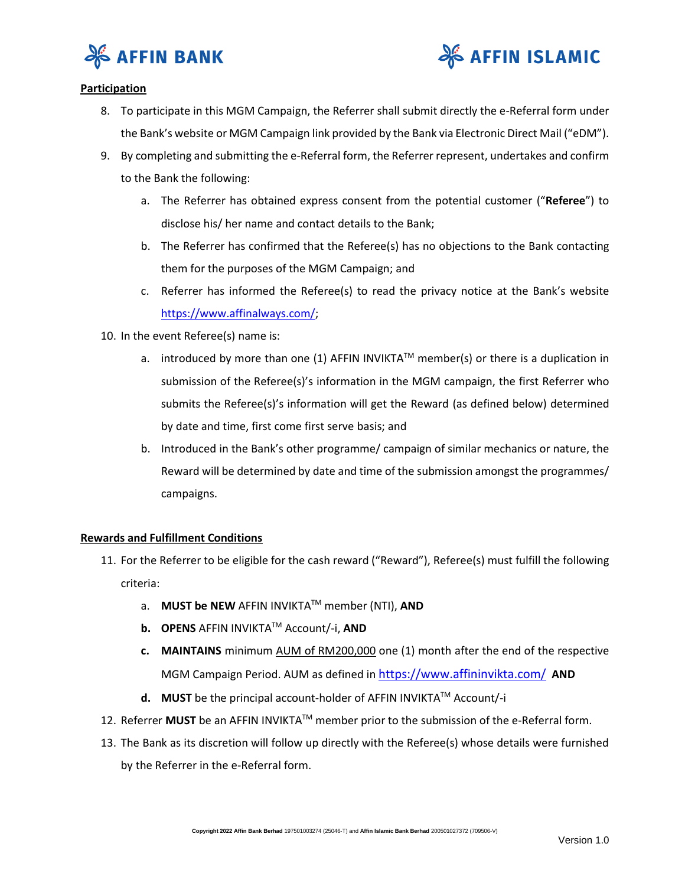



### **Participation**

- 8. To participate in this MGM Campaign, the Referrer shall submit directly the e-Referral form under the Bank's website or MGM Campaign link provided by the Bank via Electronic Direct Mail ("eDM").
- 9. By completing and submitting the e-Referral form, the Referrer represent, undertakes and confirm to the Bank the following:
	- a. The Referrer has obtained express consent from the potential customer ("**Referee**") to disclose his/ her name and contact details to the Bank;
	- b. The Referrer has confirmed that the Referee(s) has no objections to the Bank contacting them for the purposes of the MGM Campaign; and
	- c. Referrer has informed the Referee(s) to read the privacy notice at the Bank's website [https://www.affinalways.com/;](https://www.affinalways.com/)
- 10. In the event Referee(s) name is:
	- a. introduced by more than one (1) AFFIN INVIKTA<sup>TM</sup> member(s) or there is a duplication in submission of the Referee(s)'s information in the MGM campaign, the first Referrer who submits the Referee(s)'s information will get the Reward (as defined below) determined by date and time, first come first serve basis; and
	- b. Introduced in the Bank's other programme/ campaign of similar mechanics or nature, the Reward will be determined by date and time of the submission amongst the programmes/ campaigns.

### **Rewards and Fulfillment Conditions**

- 11. For the Referrer to be eligible for the cash reward ("Reward"), Referee(s) must fulfill the following criteria:
	- a. **MUST be NEW** AFFIN INVIKTATM member (NTI), **AND**
	- **b. OPENS** AFFIN INVIKTATM Account/-i, **AND**
	- **c. MAINTAINS** minimum AUM of RM200,000 one (1) month after the end of the respective MGM Campaign Period. AUM as defined in <https://www.affininvikta.com/> **AND**
	- **d. MUST** be the principal account-holder of AFFIN INVIKTA™ Account/-i
- 12. Referrer **MUST** be an AFFIN INVIKTA™ member prior to the submission of the e-Referral form.
- 13. The Bank as its discretion will follow up directly with the Referee(s) whose details were furnished by the Referrer in the e-Referral form.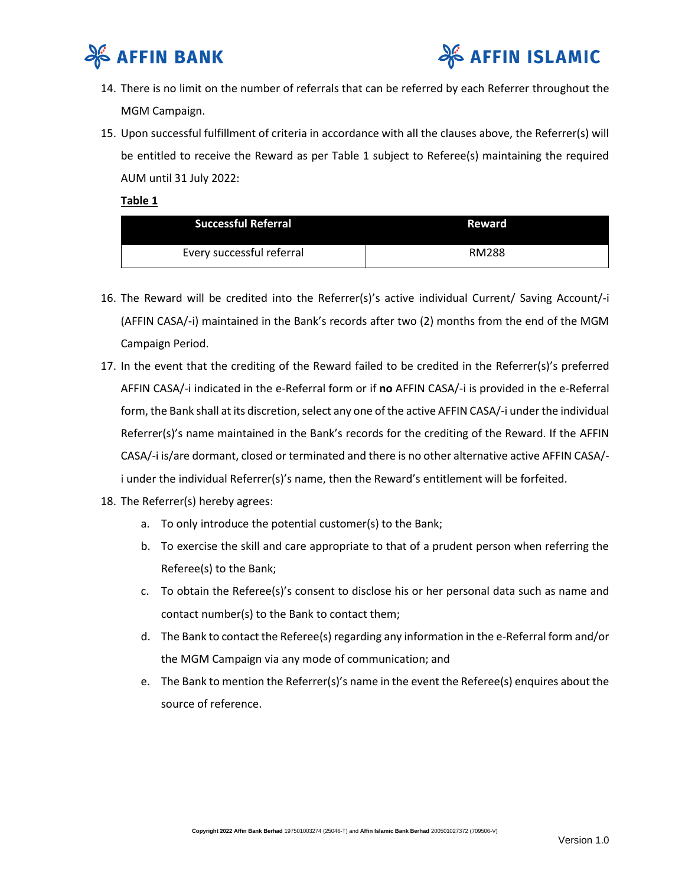



- 14. There is no limit on the number of referrals that can be referred by each Referrer throughout the MGM Campaign.
- 15. Upon successful fulfillment of criteria in accordance with all the clauses above, the Referrer(s) will be entitled to receive the Reward as per Table 1 subject to Referee(s) maintaining the required AUM until 31 July 2022:

**Table 1**

| <b>Successful Referral</b> | Reward       |
|----------------------------|--------------|
| Every successful referral  | <b>RM288</b> |

- 16. The Reward will be credited into the Referrer(s)'s active individual Current/ Saving Account/-i (AFFIN CASA/-i) maintained in the Bank's records after two (2) months from the end of the MGM Campaign Period.
- 17. In the event that the crediting of the Reward failed to be credited in the Referrer(s)'s preferred AFFIN CASA/-i indicated in the e-Referral form or if **no** AFFIN CASA/-i is provided in the e-Referral form, the Bank shall at its discretion, select any one of the active AFFIN CASA/-i under the individual Referrer(s)'s name maintained in the Bank's records for the crediting of the Reward. If the AFFIN CASA/-i is/are dormant, closed or terminated and there is no other alternative active AFFIN CASA/ i under the individual Referrer(s)'s name, then the Reward's entitlement will be forfeited.
- 18. The Referrer(s) hereby agrees:
	- a. To only introduce the potential customer(s) to the Bank;
	- b. To exercise the skill and care appropriate to that of a prudent person when referring the Referee(s) to the Bank;
	- c. To obtain the Referee(s)'s consent to disclose his or her personal data such as name and contact number(s) to the Bank to contact them;
	- d. The Bank to contact the Referee(s) regarding any information in the e-Referral form and/or the MGM Campaign via any mode of communication; and
	- e. The Bank to mention the Referrer(s)'s name in the event the Referee(s) enquires about the source of reference.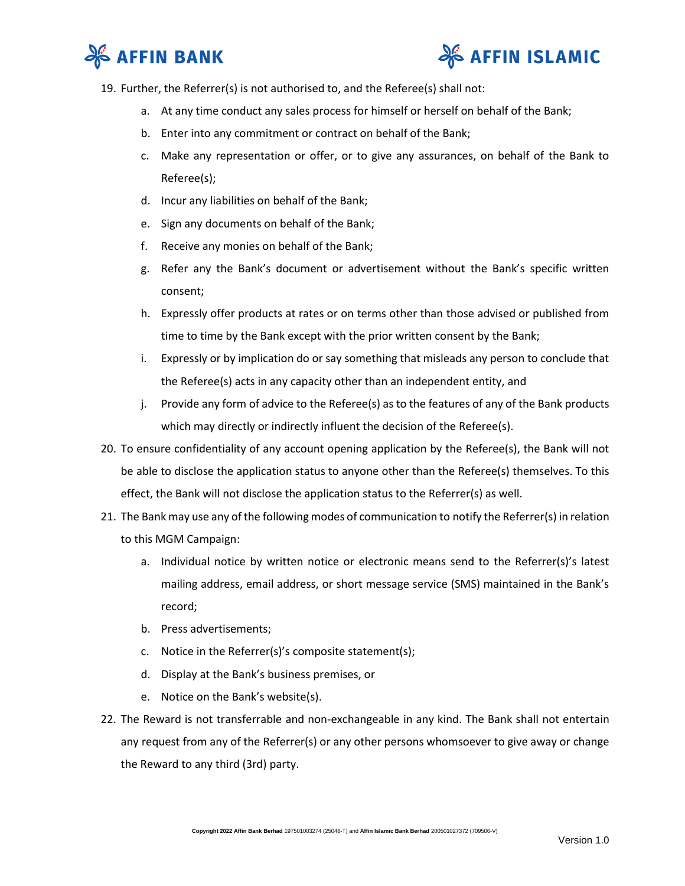



- 19. Further, the Referrer(s) is not authorised to, and the Referee(s) shall not:
	- a. At any time conduct any sales process for himself or herself on behalf of the Bank;
	- b. Enter into any commitment or contract on behalf of the Bank;
	- c. Make any representation or offer, or to give any assurances, on behalf of the Bank to Referee(s);
	- d. Incur any liabilities on behalf of the Bank;
	- e. Sign any documents on behalf of the Bank;
	- f. Receive any monies on behalf of the Bank;
	- g. Refer any the Bank's document or advertisement without the Bank's specific written consent;
	- h. Expressly offer products at rates or on terms other than those advised or published from time to time by the Bank except with the prior written consent by the Bank;
	- i. Expressly or by implication do or say something that misleads any person to conclude that the Referee(s) acts in any capacity other than an independent entity, and
	- j. Provide any form of advice to the Referee(s) as to the features of any of the Bank products which may directly or indirectly influent the decision of the Referee(s).
- 20. To ensure confidentiality of any account opening application by the Referee(s), the Bank will not be able to disclose the application status to anyone other than the Referee(s) themselves. To this effect, the Bank will not disclose the application status to the Referrer(s) as well.
- 21. The Bank may use any of the following modes of communication to notify the Referrer(s) in relation to this MGM Campaign:
	- a. Individual notice by written notice or electronic means send to the Referrer(s)'s latest mailing address, email address, or short message service (SMS) maintained in the Bank's record;
	- b. Press advertisements;
	- c. Notice in the Referrer(s)'s composite statement(s);
	- d. Display at the Bank's business premises, or
	- e. Notice on the Bank's website(s).
- 22. The Reward is not transferrable and non-exchangeable in any kind. The Bank shall not entertain any request from any of the Referrer(s) or any other persons whomsoever to give away or change the Reward to any third (3rd) party.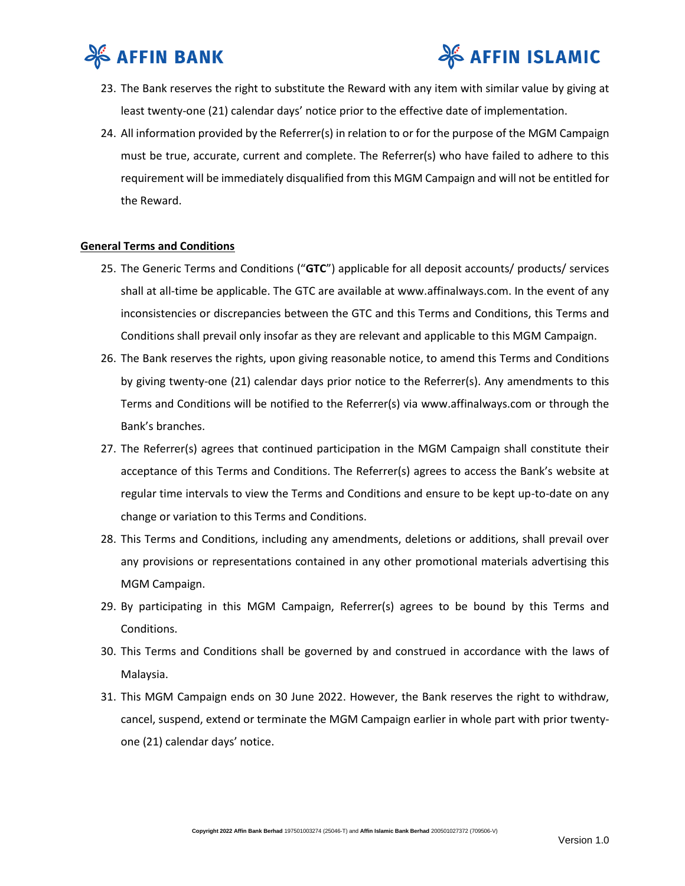



- 23. The Bank reserves the right to substitute the Reward with any item with similar value by giving at least twenty-one (21) calendar days' notice prior to the effective date of implementation.
- 24. All information provided by the Referrer(s) in relation to or for the purpose of the MGM Campaign must be true, accurate, current and complete. The Referrer(s) who have failed to adhere to this requirement will be immediately disqualified from this MGM Campaign and will not be entitled for the Reward.

### **General Terms and Conditions**

- 25. The Generic Terms and Conditions ("**GTC**") applicable for all deposit accounts/ products/ services shall at all-time be applicable. The GTC are available at www.affinalways.com. In the event of any inconsistencies or discrepancies between the GTC and this Terms and Conditions, this Terms and Conditions shall prevail only insofar as they are relevant and applicable to this MGM Campaign.
- 26. The Bank reserves the rights, upon giving reasonable notice, to amend this Terms and Conditions by giving twenty-one (21) calendar days prior notice to the Referrer(s). Any amendments to this Terms and Conditions will be notified to the Referrer(s) via www.affinalways.com or through the Bank's branches.
- 27. The Referrer(s) agrees that continued participation in the MGM Campaign shall constitute their acceptance of this Terms and Conditions. The Referrer(s) agrees to access the Bank's website at regular time intervals to view the Terms and Conditions and ensure to be kept up-to-date on any change or variation to this Terms and Conditions.
- 28. This Terms and Conditions, including any amendments, deletions or additions, shall prevail over any provisions or representations contained in any other promotional materials advertising this MGM Campaign.
- 29. By participating in this MGM Campaign, Referrer(s) agrees to be bound by this Terms and Conditions.
- 30. This Terms and Conditions shall be governed by and construed in accordance with the laws of Malaysia.
- 31. This MGM Campaign ends on 30 June 2022. However, the Bank reserves the right to withdraw, cancel, suspend, extend or terminate the MGM Campaign earlier in whole part with prior twentyone (21) calendar days' notice.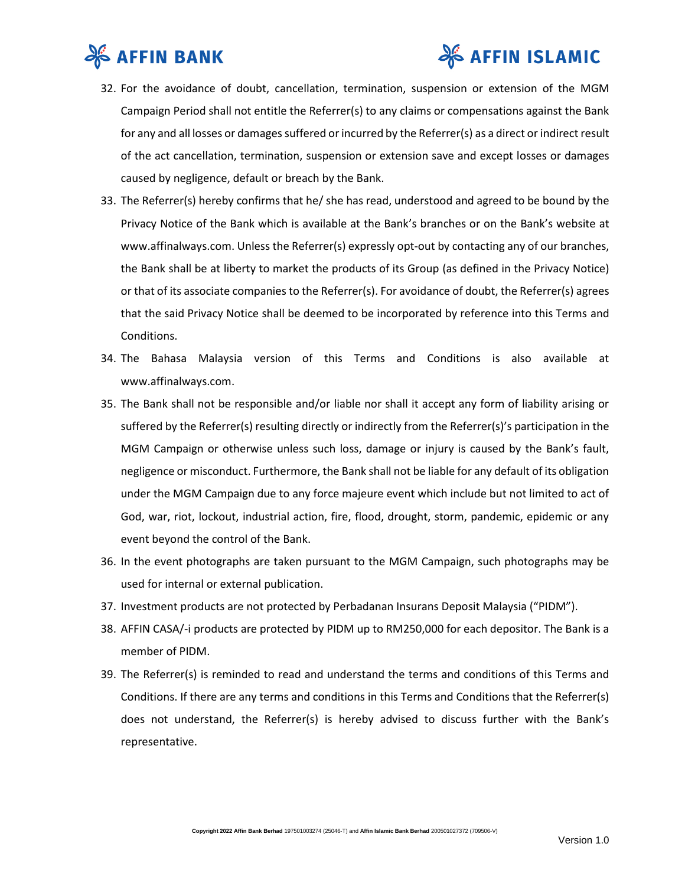

# **& AFFIN ISLAMIC**

- 32. For the avoidance of doubt, cancellation, termination, suspension or extension of the MGM Campaign Period shall not entitle the Referrer(s) to any claims or compensations against the Bank for any and all losses or damages suffered or incurred by the Referrer(s) as a direct or indirect result of the act cancellation, termination, suspension or extension save and except losses or damages caused by negligence, default or breach by the Bank.
- 33. The Referrer(s) hereby confirms that he/ she has read, understood and agreed to be bound by the Privacy Notice of the Bank which is available at the Bank's branches or on the Bank's website at www.affinalways.com. Unless the Referrer(s) expressly opt-out by contacting any of our branches, the Bank shall be at liberty to market the products of its Group (as defined in the Privacy Notice) or that of its associate companies to the Referrer(s). For avoidance of doubt, the Referrer(s) agrees that the said Privacy Notice shall be deemed to be incorporated by reference into this Terms and Conditions.
- 34. The Bahasa Malaysia version of this Terms and Conditions is also available at www.affinalways.com.
- 35. The Bank shall not be responsible and/or liable nor shall it accept any form of liability arising or suffered by the Referrer(s) resulting directly or indirectly from the Referrer(s)'s participation in the MGM Campaign or otherwise unless such loss, damage or injury is caused by the Bank's fault, negligence or misconduct. Furthermore, the Bank shall not be liable for any default of its obligation under the MGM Campaign due to any force majeure event which include but not limited to act of God, war, riot, lockout, industrial action, fire, flood, drought, storm, pandemic, epidemic or any event beyond the control of the Bank.
- 36. In the event photographs are taken pursuant to the MGM Campaign, such photographs may be used for internal or external publication.
- 37. Investment products are not protected by Perbadanan Insurans Deposit Malaysia ("PIDM").
- 38. AFFIN CASA/-i products are protected by PIDM up to RM250,000 for each depositor. The Bank is a member of PIDM.
- 39. The Referrer(s) is reminded to read and understand the terms and conditions of this Terms and Conditions. If there are any terms and conditions in this Terms and Conditions that the Referrer(s) does not understand, the Referrer(s) is hereby advised to discuss further with the Bank's representative.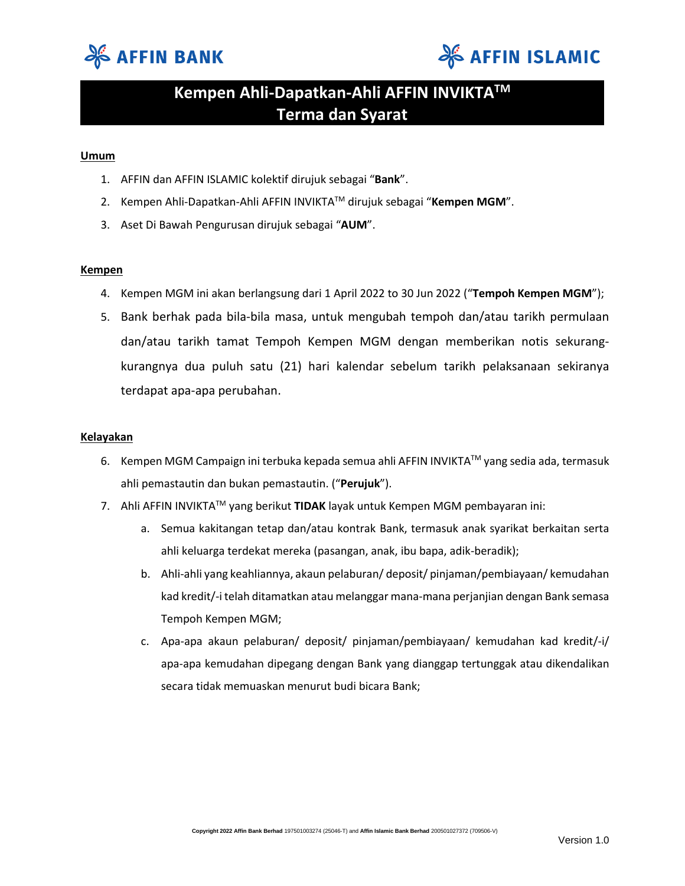



# **Kempen Ahli-Dapatkan-Ahli AFFIN INVIKTATM Terma dan Syarat**

### **Umum**

- 1. AFFIN dan AFFIN ISLAMIC kolektif dirujuk sebagai "**Bank**".
- 2. Kempen Ahli-Dapatkan-Ahli AFFIN INVIKTATM dirujuk sebagai "**Kempen MGM**".
- 3. Aset Di Bawah Pengurusan dirujuk sebagai "**AUM**".

### **Kempen**

- 4. Kempen MGM ini akan berlangsung dari 1 April 2022 to 30 Jun 2022 ("**Tempoh Kempen MGM**");
- 5. Bank berhak pada bila-bila masa, untuk mengubah tempoh dan/atau tarikh permulaan dan/atau tarikh tamat Tempoh Kempen MGM dengan memberikan notis sekurangkurangnya dua puluh satu (21) hari kalendar sebelum tarikh pelaksanaan sekiranya terdapat apa-apa perubahan.

### **Kelayakan**

- 6. Kempen MGM Campaign ini terbuka kepada semua ahli AFFIN INVIKTATM yang sedia ada, termasuk ahli pemastautin dan bukan pemastautin. ("**Perujuk**").
- 7. Ahli AFFIN INVIKTATM yang berikut **TIDAK** layak untuk Kempen MGM pembayaran ini:
	- a. Semua kakitangan tetap dan/atau kontrak Bank, termasuk anak syarikat berkaitan serta ahli keluarga terdekat mereka (pasangan, anak, ibu bapa, adik-beradik);
	- b. Ahli-ahli yang keahliannya, akaun pelaburan/ deposit/ pinjaman/pembiayaan/ kemudahan kad kredit/-i telah ditamatkan atau melanggar mana-mana perjanjian dengan Bank semasa Tempoh Kempen MGM;
	- c. Apa-apa akaun pelaburan/ deposit/ pinjaman/pembiayaan/ kemudahan kad kredit/-i/ apa-apa kemudahan dipegang dengan Bank yang dianggap tertunggak atau dikendalikan secara tidak memuaskan menurut budi bicara Bank;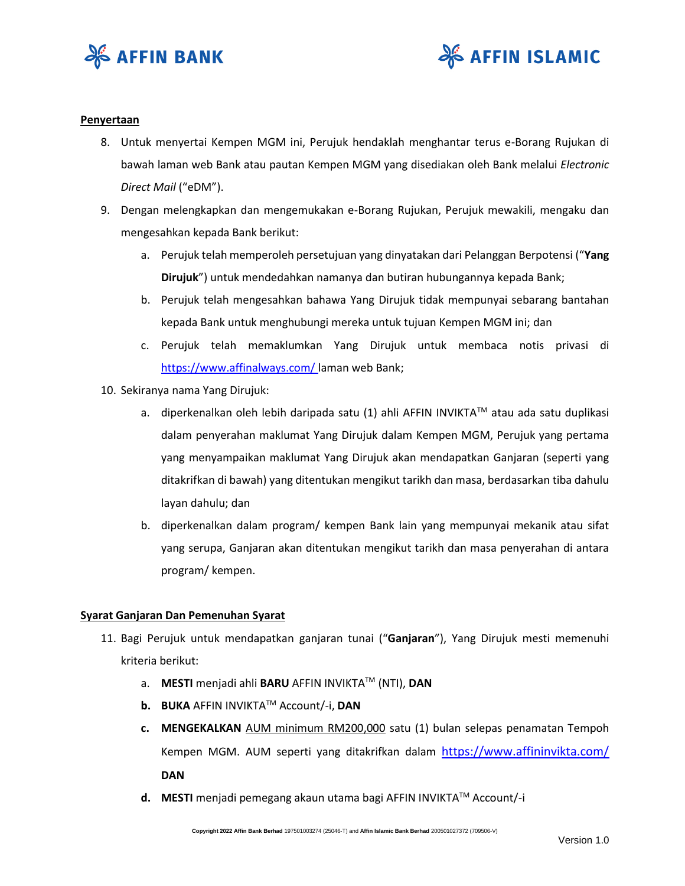



#### **Penyertaan**

- 8. Untuk menyertai Kempen MGM ini, Perujuk hendaklah menghantar terus e-Borang Rujukan di bawah laman web Bank atau pautan Kempen MGM yang disediakan oleh Bank melalui *Electronic Direct Mail* ("eDM").
- 9. Dengan melengkapkan dan mengemukakan e-Borang Rujukan, Perujuk mewakili, mengaku dan mengesahkan kepada Bank berikut:
	- a. Perujuk telah memperoleh persetujuan yang dinyatakan dari Pelanggan Berpotensi ("**Yang Dirujuk**") untuk mendedahkan namanya dan butiran hubungannya kepada Bank;
	- b. Perujuk telah mengesahkan bahawa Yang Dirujuk tidak mempunyai sebarang bantahan kepada Bank untuk menghubungi mereka untuk tujuan Kempen MGM ini; dan
	- c. Perujuk telah memaklumkan Yang Dirujuk untuk membaca notis privasi di <https://www.affinalways.com/> laman web Bank;
- 10. Sekiranya nama Yang Dirujuk:
	- a. diperkenalkan oleh lebih daripada satu (1) ahli AFFIN INVIKTA™ atau ada satu duplikasi dalam penyerahan maklumat Yang Dirujuk dalam Kempen MGM, Perujuk yang pertama yang menyampaikan maklumat Yang Dirujuk akan mendapatkan Ganjaran (seperti yang ditakrifkan di bawah) yang ditentukan mengikut tarikh dan masa, berdasarkan tiba dahulu layan dahulu; dan
	- b. diperkenalkan dalam program/ kempen Bank lain yang mempunyai mekanik atau sifat yang serupa, Ganjaran akan ditentukan mengikut tarikh dan masa penyerahan di antara program/ kempen.

### **Syarat Ganjaran Dan Pemenuhan Syarat**

- 11. Bagi Perujuk untuk mendapatkan ganjaran tunai ("**Ganjaran**"), Yang Dirujuk mesti memenuhi kriteria berikut:
	- a. **MESTI** menjadi ahli **BARU** AFFIN INVIKTATM (NTI), **DAN**
	- **b. BUKA** AFFIN INVIKTATM Account/-i, **DAN**
	- **c. MENGEKALKAN** AUM minimum RM200,000 satu (1) bulan selepas penamatan Tempoh Kempen MGM. AUM seperti yang ditakrifkan dalam <https://www.affininvikta.com/> **DAN**
	- **d. MESTI** menjadi pemegang akaun utama bagi AFFIN INVIKTATM Account/-i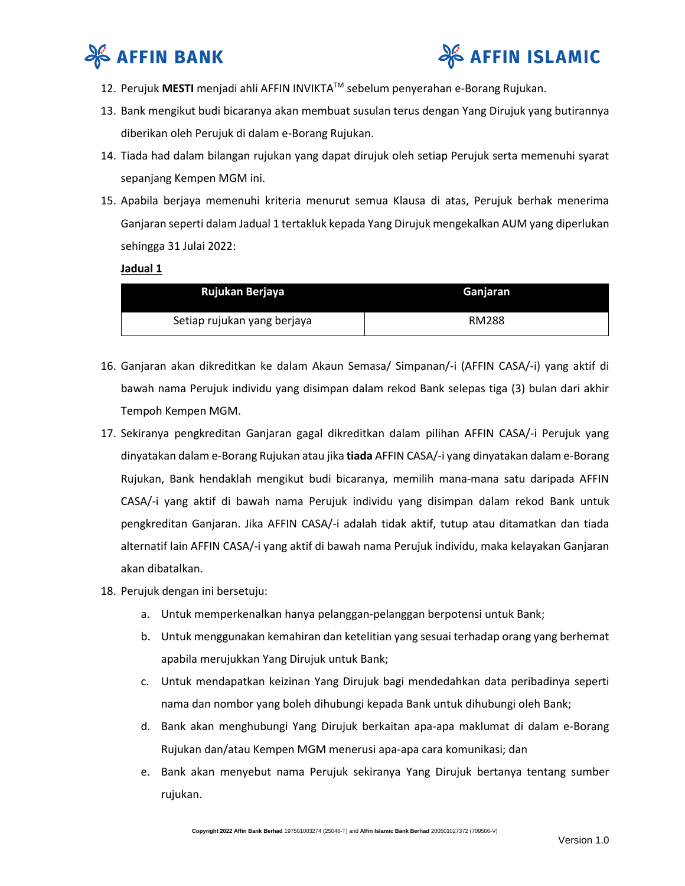



- 12. Perujuk **MESTI** menjadi ahli AFFIN INVIKTATM sebelum penyerahan e-Borang Rujukan.
- 13. Bank mengikut budi bicaranya akan membuat susulan terus dengan Yang Dirujuk yang butirannya diberikan oleh Perujuk di dalam e-Borang Rujukan.
- 14. Tiada had dalam bilangan rujukan yang dapat dirujuk oleh setiap Perujuk serta memenuhi syarat sepanjang Kempen MGM ini.
- 15. Apabila berjaya memenuhi kriteria menurut semua Klausa di atas, Perujuk berhak menerima Ganjaran seperti dalam Jadual 1 tertakluk kepada Yang Dirujuk mengekalkan AUM yang diperlukan sehingga 31 Julai 2022:

### **Jadual 1**

| Rujukan Berjaya             | Ganjaran     |
|-----------------------------|--------------|
| Setiap rujukan yang berjaya | <b>RM288</b> |

- 16. Ganjaran akan dikreditkan ke dalam Akaun Semasa/ Simpanan/-i (AFFIN CASA/-i) yang aktif di bawah nama Perujuk individu yang disimpan dalam rekod Bank selepas tiga (3) bulan dari akhir Tempoh Kempen MGM.
- 17. Sekiranya pengkreditan Ganjaran gagal dikreditkan dalam pilihan AFFIN CASA/-i Perujuk yang dinyatakan dalam e-Borang Rujukan atau jika **tiada** AFFIN CASA/-i yang dinyatakan dalam e-Borang Rujukan, Bank hendaklah mengikut budi bicaranya, memilih mana-mana satu daripada AFFIN CASA/-i yang aktif di bawah nama Perujuk individu yang disimpan dalam rekod Bank untuk pengkreditan Ganjaran. Jika AFFIN CASA/-i adalah tidak aktif, tutup atau ditamatkan dan tiada alternatif lain AFFIN CASA/-i yang aktif di bawah nama Perujuk individu, maka kelayakan Ganjaran akan dibatalkan.
- 18. Perujuk dengan ini bersetuju:
	- a. Untuk memperkenalkan hanya pelanggan-pelanggan berpotensi untuk Bank;
	- b. Untuk menggunakan kemahiran dan ketelitian yang sesuai terhadap orang yang berhemat apabila merujukkan Yang Dirujuk untuk Bank;
	- c. Untuk mendapatkan keizinan Yang Dirujuk bagi mendedahkan data peribadinya seperti nama dan nombor yang boleh dihubungi kepada Bank untuk dihubungi oleh Bank;
	- d. Bank akan menghubungi Yang Dirujuk berkaitan apa-apa maklumat di dalam e-Borang Rujukan dan/atau Kempen MGM menerusi apa-apa cara komunikasi; dan
	- e. Bank akan menyebut nama Perujuk sekiranya Yang Dirujuk bertanya tentang sumber rujukan.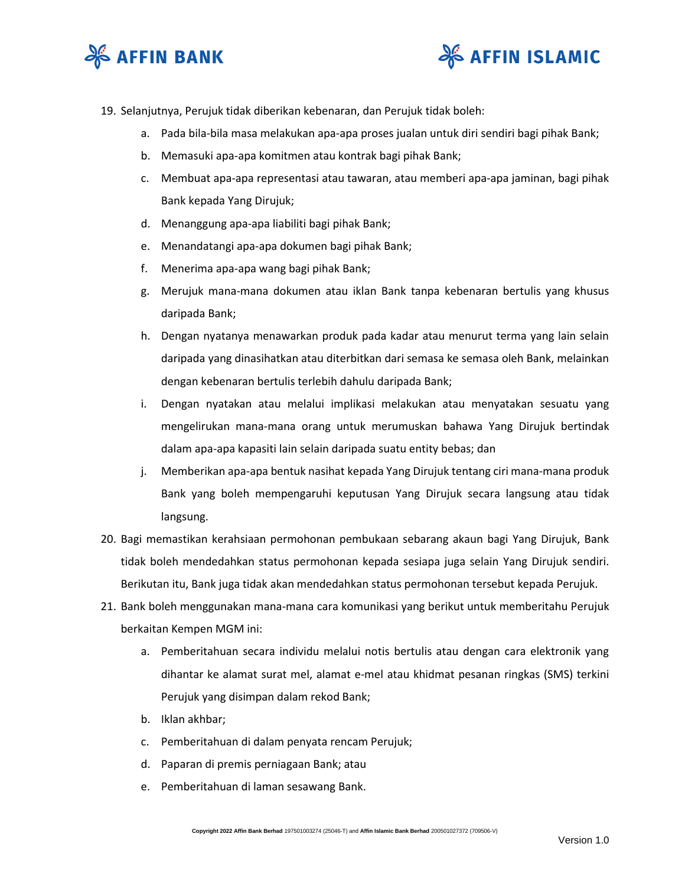



- 19. Selanjutnya, Perujuk tidak diberikan kebenaran, dan Perujuk tidak boleh:
	- a. Pada bila-bila masa melakukan apa-apa proses jualan untuk diri sendiri bagi pihak Bank;
	- b. Memasuki apa-apa komitmen atau kontrak bagi pihak Bank;
	- c. Membuat apa-apa representasi atau tawaran, atau memberi apa-apa jaminan, bagi pihak Bank kepada Yang Dirujuk;
	- d. Menanggung apa-apa liabiliti bagi pihak Bank;
	- e. Menandatangi apa-apa dokumen bagi pihak Bank;
	- f. Menerima apa-apa wang bagi pihak Bank;
	- g. Merujuk mana-mana dokumen atau iklan Bank tanpa kebenaran bertulis yang khusus daripada Bank;
	- h. Dengan nyatanya menawarkan produk pada kadar atau menurut terma yang lain selain daripada yang dinasihatkan atau diterbitkan dari semasa ke semasa oleh Bank, melainkan dengan kebenaran bertulis terlebih dahulu daripada Bank;
	- i. Dengan nyatakan atau melalui implikasi melakukan atau menyatakan sesuatu yang mengelirukan mana-mana orang untuk merumuskan bahawa Yang Dirujuk bertindak dalam apa-apa kapasiti lain selain daripada suatu entity bebas; dan
	- j. Memberikan apa-apa bentuk nasihat kepada Yang Dirujuk tentang ciri mana-mana produk Bank yang boleh mempengaruhi keputusan Yang Dirujuk secara langsung atau tidak langsung.
- 20. Bagi memastikan kerahsiaan permohonan pembukaan sebarang akaun bagi Yang Dirujuk, Bank tidak boleh mendedahkan status permohonan kepada sesiapa juga selain Yang Dirujuk sendiri. Berikutan itu, Bank juga tidak akan mendedahkan status permohonan tersebut kepada Perujuk.
- 21. Bank boleh menggunakan mana-mana cara komunikasi yang berikut untuk memberitahu Perujuk berkaitan Kempen MGM ini:
	- a. Pemberitahuan secara individu melalui notis bertulis atau dengan cara elektronik yang dihantar ke alamat surat mel, alamat e-mel atau khidmat pesanan ringkas (SMS) terkini Perujuk yang disimpan dalam rekod Bank;
	- b. Iklan akhbar;
	- c. Pemberitahuan di dalam penyata rencam Perujuk;
	- d. Paparan di premis perniagaan Bank; atau
	- e. Pemberitahuan di laman sesawang Bank.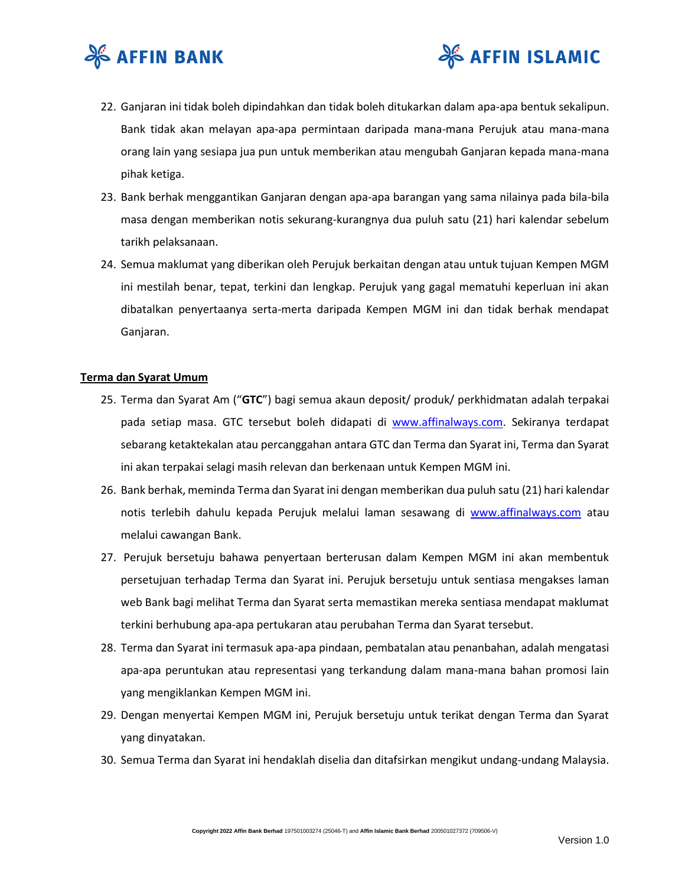



- 22. Ganjaran ini tidak boleh dipindahkan dan tidak boleh ditukarkan dalam apa-apa bentuk sekalipun. Bank tidak akan melayan apa-apa permintaan daripada mana-mana Perujuk atau mana-mana orang lain yang sesiapa jua pun untuk memberikan atau mengubah Ganjaran kepada mana-mana pihak ketiga.
- 23. Bank berhak menggantikan Ganjaran dengan apa-apa barangan yang sama nilainya pada bila-bila masa dengan memberikan notis sekurang-kurangnya dua puluh satu (21) hari kalendar sebelum tarikh pelaksanaan.
- 24. Semua maklumat yang diberikan oleh Perujuk berkaitan dengan atau untuk tujuan Kempen MGM ini mestilah benar, tepat, terkini dan lengkap. Perujuk yang gagal mematuhi keperluan ini akan dibatalkan penyertaanya serta-merta daripada Kempen MGM ini dan tidak berhak mendapat Ganjaran.

#### **Terma dan Syarat Umum**

- 25. Terma dan Syarat Am ("**GTC**") bagi semua akaun deposit/ produk/ perkhidmatan adalah terpakai pada setiap masa. GTC tersebut boleh didapati di [www.affinalways.com.](http://www.affinalways.com/) Sekiranya terdapat sebarang ketaktekalan atau percanggahan antara GTC dan Terma dan Syarat ini, Terma dan Syarat ini akan terpakai selagi masih relevan dan berkenaan untuk Kempen MGM ini.
- 26. Bank berhak, meminda Terma dan Syarat ini dengan memberikan dua puluh satu (21) hari kalendar notis terlebih dahulu kepada Perujuk melalui laman sesawang di [www.affinalways.com](http://www.affinalways.com/) atau melalui cawangan Bank.
- 27. Perujuk bersetuju bahawa penyertaan berterusan dalam Kempen MGM ini akan membentuk persetujuan terhadap Terma dan Syarat ini. Perujuk bersetuju untuk sentiasa mengakses laman web Bank bagi melihat Terma dan Syarat serta memastikan mereka sentiasa mendapat maklumat terkini berhubung apa-apa pertukaran atau perubahan Terma dan Syarat tersebut.
- 28. Terma dan Syarat ini termasuk apa-apa pindaan, pembatalan atau penanbahan, adalah mengatasi apa-apa peruntukan atau representasi yang terkandung dalam mana-mana bahan promosi lain yang mengiklankan Kempen MGM ini.
- 29. Dengan menyertai Kempen MGM ini, Perujuk bersetuju untuk terikat dengan Terma dan Syarat yang dinyatakan.
- 30. Semua Terma dan Syarat ini hendaklah diselia dan ditafsirkan mengikut undang-undang Malaysia.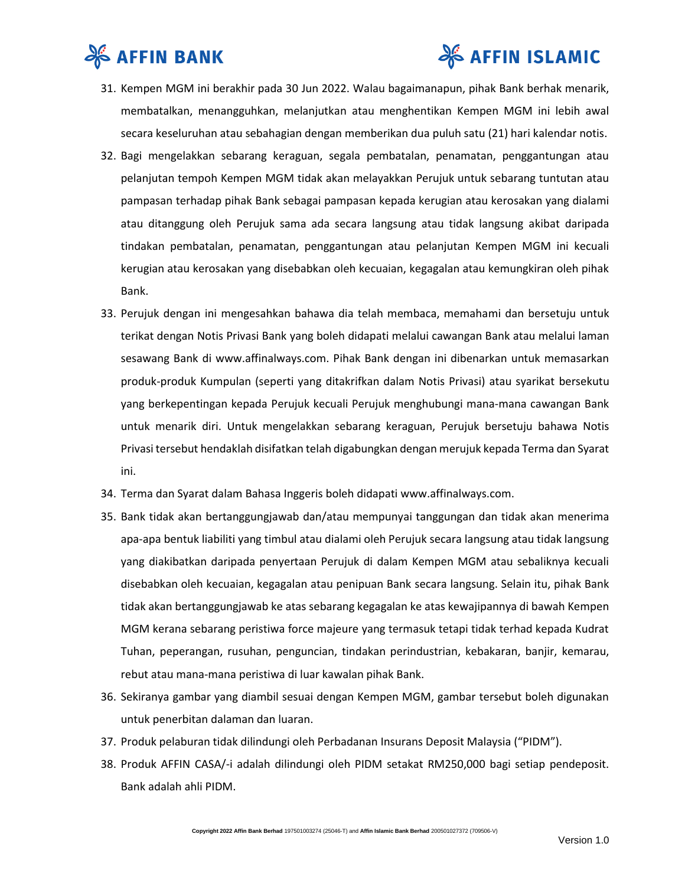



- 31. Kempen MGM ini berakhir pada 30 Jun 2022. Walau bagaimanapun, pihak Bank berhak menarik, membatalkan, menangguhkan, melanjutkan atau menghentikan Kempen MGM ini lebih awal secara keseluruhan atau sebahagian dengan memberikan dua puluh satu (21) hari kalendar notis.
- 32. Bagi mengelakkan sebarang keraguan, segala pembatalan, penamatan, penggantungan atau pelanjutan tempoh Kempen MGM tidak akan melayakkan Perujuk untuk sebarang tuntutan atau pampasan terhadap pihak Bank sebagai pampasan kepada kerugian atau kerosakan yang dialami atau ditanggung oleh Perujuk sama ada secara langsung atau tidak langsung akibat daripada tindakan pembatalan, penamatan, penggantungan atau pelanjutan Kempen MGM ini kecuali kerugian atau kerosakan yang disebabkan oleh kecuaian, kegagalan atau kemungkiran oleh pihak Bank.
- 33. Perujuk dengan ini mengesahkan bahawa dia telah membaca, memahami dan bersetuju untuk terikat dengan Notis Privasi Bank yang boleh didapati melalui cawangan Bank atau melalui laman sesawang Bank di www.affinalways.com. Pihak Bank dengan ini dibenarkan untuk memasarkan produk-produk Kumpulan (seperti yang ditakrifkan dalam Notis Privasi) atau syarikat bersekutu yang berkepentingan kepada Perujuk kecuali Perujuk menghubungi mana-mana cawangan Bank untuk menarik diri. Untuk mengelakkan sebarang keraguan, Perujuk bersetuju bahawa Notis Privasi tersebut hendaklah disifatkan telah digabungkan dengan merujuk kepada Terma dan Syarat ini.
- 34. Terma dan Syarat dalam Bahasa Inggeris boleh didapati www.affinalways.com.
- 35. Bank tidak akan bertanggungjawab dan/atau mempunyai tanggungan dan tidak akan menerima apa-apa bentuk liabiliti yang timbul atau dialami oleh Perujuk secara langsung atau tidak langsung yang diakibatkan daripada penyertaan Perujuk di dalam Kempen MGM atau sebaliknya kecuali disebabkan oleh kecuaian, kegagalan atau penipuan Bank secara langsung. Selain itu, pihak Bank tidak akan bertanggungjawab ke atas sebarang kegagalan ke atas kewajipannya di bawah Kempen MGM kerana sebarang peristiwa force majeure yang termasuk tetapi tidak terhad kepada Kudrat Tuhan, peperangan, rusuhan, penguncian, tindakan perindustrian, kebakaran, banjir, kemarau, rebut atau mana-mana peristiwa di luar kawalan pihak Bank.
- 36. Sekiranya gambar yang diambil sesuai dengan Kempen MGM, gambar tersebut boleh digunakan untuk penerbitan dalaman dan luaran.
- 37. Produk pelaburan tidak dilindungi oleh Perbadanan Insurans Deposit Malaysia ("PIDM").
- 38. Produk AFFIN CASA/-i adalah dilindungi oleh PIDM setakat RM250,000 bagi setiap pendeposit. Bank adalah ahli PIDM.